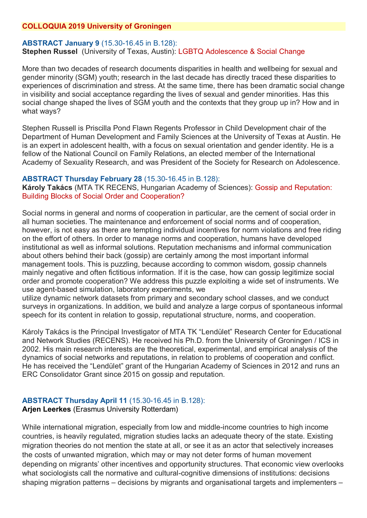# **COLLOQUIA 2019 University of Groningen**

# **ABSTRACT January 9** (15.30-16.45 in B.128): **Stephen Russel** (University of Texas, Austin): LGBTQ Adolescence & Social Change

More than two decades of research documents disparities in health and wellbeing for sexual and gender minority (SGM) youth; research in the last decade has directly traced these disparities to experiences of discrimination and stress. At the same time, there has been dramatic social change in visibility and social acceptance regarding the lives of sexual and gender minorities. Has this social change shaped the lives of SGM youth and the contexts that they group up in? How and in what wavs?

Stephen Russell is Priscilla Pond Flawn Regents Professor in Child Development chair of the Department of Human Development and Family Sciences at the University of Texas at Austin. He is an expert in adolescent health, with a focus on sexual orientation and gender identity. He is a fellow of the National Council on Family Relations, an elected member of the International Academy of Sexuality Research, and was President of the Society for Research on Adolescence.

# **ABSTRACT Thursday February 28** (15.30-16.45 in B.128):

**Károly Takács** (MTA TK RECENS, Hungarian Academy of Sciences): Gossip and Reputation: Building Blocks of Social Order and Cooperation?

Social norms in general and norms of cooperation in particular, are the cement of social order in all human societies. The maintenance and enforcement of social norms and of cooperation, however, is not easy as there are tempting individual incentives for norm violations and free riding on the effort of others. In order to manage norms and cooperation, humans have developed institutional as well as informal solutions. Reputation mechanisms and informal communication about others behind their back (gossip) are certainly among the most important informal management tools. This is puzzling, because according to common wisdom, gossip channels mainly negative and often fictitious information. If it is the case, how can gossip legitimize social order and promote cooperation? We address this puzzle exploiting a wide set of instruments. We use agent-based simulation, laboratory experiments, we

utilize dynamic network datasets from primary and secondary school classes, and we conduct surveys in organizations. In addition, we build and analyze a large corpus of spontaneous informal speech for its content in relation to gossip, reputational structure, norms, and cooperation.

Károly Takács is the Principal Investigator of MTA TK "Lendület" Research Center for Educational and Network Studies (RECENS). He received his Ph.D. from the University of Groningen / ICS in 2002. His main research interests are the theoretical, experimental, and empirical analysis of the dynamics of social networks and reputations, in relation to problems of cooperation and conflict. He has received the "Lendület" grant of the Hungarian Academy of Sciences in 2012 and runs an ERC Consolidator Grant since 2015 on gossip and reputation.

# **ABSTRACT Thursday April 11** (15.30-16.45 in B.128):

**Arjen Leerkes** (Erasmus University Rotterdam)

While international migration, especially from low and middle-income countries to high income countries, is heavily regulated, migration studies lacks an adequate theory of the state. Existing migration theories do not mention the state at all, or see it as an actor that selectively increases the costs of unwanted migration, which may or may not deter forms of human movement depending on migrants' other incentives and opportunity structures. That economic view overlooks what sociologists call the normative and cultural-cognitive dimensions of institutions: decisions shaping migration patterns – decisions by migrants and organisational targets and implementers –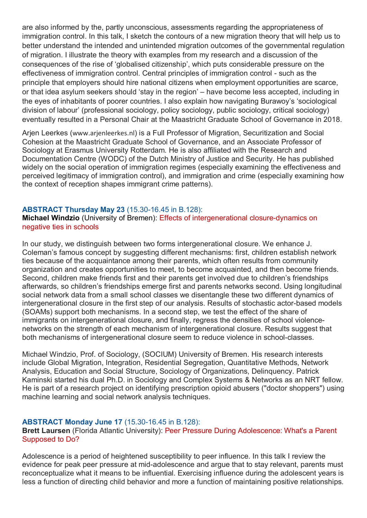are also informed by the, partly unconscious, assessments regarding the appropriateness of immigration control. In this talk, I sketch the contours of a new migration theory that will help us to better understand the intended and unintended migration outcomes of the governmental regulation of migration. I illustrate the theory with examples from my research and a discussion of the consequences of the rise of 'globalised citizenship', which puts considerable pressure on the effectiveness of immigration control. Central principles of immigration control - such as the principle that employers should hire national citizens when employment opportunities are scarce, or that idea asylum seekers should 'stay in the region' – have become less accepted, including in the eyes of inhabitants of poorer countries. I also explain how navigating Burawoy's 'sociological division of labour' (professional sociology, policy sociology, public sociology, critical sociology) eventually resulted in a Personal Chair at the Maastricht Graduate School of Governance in 2018.

Arjen Leerkes ([www.arjenleerkes.nl](https://www.google.com/url?q=http%3A%2F%2Fwww.arjenleerkes.nl&sa=D&ust=1559395797457000&usg=AFQjCNH6pmGksVpajB4XpJFoSpcaicrKWg)) is a Full Professor of Migration, Securitization and Social Cohesion at the Maastricht Graduate School of Governance, and an Associate Professor of Sociology at Erasmus University Rotterdam. He is also affiliated with the Research and Documentation Centre (WODC) of the Dutch Ministry of Justice and Security. He has published widely on the social operation of immigration regimes (especially examining the effectiveness and perceived legitimacy of immigration control), and immigration and crime (especially examining how the context of reception shapes immigrant crime patterns).

# **ABSTRACT Thursday May 23** (15.30-16.45 in B.128):

**Michael Windzio** (University of Bremen): Effects of intergenerational closure-dynamics on negative ties in schools

In our study, we distinguish between two forms intergenerational closure. We enhance J. Coleman's famous concept by suggesting different mechanisms: first, children establish network ties because of the acquaintance among their parents, which often results from community organization and creates opportunities to meet, to become acquainted, and then become friends. Second, children make friends first and their parents get involved due to children's friendships afterwards, so children's friendships emerge first and parents networks second. Using longitudinal social network data from a small school classes we disentangle these two different dynamics of intergenerational closure in the first step of our analysis. Results of stochastic actor-based models (SOAMs) support both mechanisms. In a second step, we test the effect of the share of immigrants on intergenerational closure, and finally, regress the densities of school violencenetworks on the strength of each mechanism of intergenerational closure. Results suggest that both mechanisms of intergenerational closure seem to reduce violence in school-classes.

Michael Windzio, Prof. of Sociology, (SOCIUM) University of Bremen. His research interests include Global Migration, Integration, Residential Segregation, Quantitative Methods, Network Analysis, Education and Social Structure, Sociology of Organizations, Delinquency. Patrick Kaminski started his dual Ph.D. in Sociology and Complex Systems & Networks as an NRT fellow. He is part of a research project on identifying prescription opioid abusers ("doctor shoppers") using machine learning and social network analysis techniques.

# **ABSTRACT Monday June 17** (15.30-16.45 in B.128):

**Brett Laursen** (Florida Atlantic University): Peer Pressure During Adolescence: What's a Parent Supposed to Do?

Adolescence is a period of heightened susceptibility to peer influence. In this talk I review the evidence for peak peer pressure at mid-adolescence and argue that to stay relevant, parents must reconceptualize what it means to be influential. Exercising influence during the adolescent years is less a function of directing child behavior and more a function of maintaining positive relationships.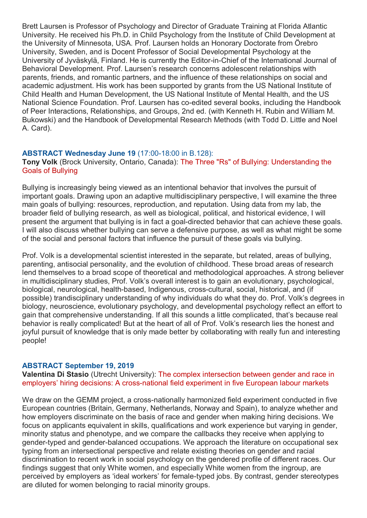Brett Laursen is Professor of Psychology and Director of Graduate Training at Florida Atlantic University. He received his Ph.D. in Child Psychology from the Institute of Child Development at the University of Minnesota, USA. Prof. Laursen holds an Honorary Doctorate from Örebro University, Sweden, and is Docent Professor of Social Developmental Psychology at the University of Jyväskylä, Finland. He is currently the Editor-in-Chief of the International Journal of Behavioral Development. Prof. Laursen's research concerns adolescent relationships with parents, friends, and romantic partners, and the influence of these relationships on social and academic adjustment. His work has been supported by grants from the US National Institute of Child Health and Human Development, the US National Institute of Mental Health, and the US National Science Foundation. Prof. Laursen has co-edited several books, including the Handbook of Peer Interactions, Relationships, and Groups, 2nd ed. (with Kenneth H. Rubin and William M. Bukowski) and the Handbook of Developmental Research Methods (with Todd D. Little and Noel A. Card).

## **ABSTRACT Wednesday June 19** (17:00-18:00 in B.128):

## **Tony Volk** (Brock University, Ontario, Canada): The Three "Rs" of Bullying: Understanding the Goals of Bullying

Bullying is increasingly being viewed as an intentional behavior that involves the pursuit of important goals. Drawing upon an adaptive multidisciplinary perspective, I will examine the three main goals of bullying: resources, reproduction, and reputation. Using data from my lab, the broader field of bullying research, as well as biological, political, and historical evidence, I will present the argument that bullying is in fact a goal-directed behavior that can achieve these goals. I will also discuss whether bullying can serve a defensive purpose, as well as what might be some of the social and personal factors that influence the pursuit of these goals via bullying.

Prof. Volk is a developmental scientist interested in the separate, but related, areas of bullying, parenting, antisocial personality, and the evolution of childhood. These broad areas of research lend themselves to a broad scope of theoretical and methodological approaches. A strong believer in multidisciplinary studies, Prof. Volk's overall interest is to gain an evolutionary, psychological, biological, neurological, health-based, Indigenous, cross-cultural, social, historical, and (if possible) trandisciplinary understanding of why individuals do what they do. Prof. Volk's degrees in biology, neuroscience, evolutionary psychology, and developmental psychology reflect an effort to gain that comprehensive understanding. If all this sounds a little complicated, that's because real behavior is really complicated! But at the heart of all of Prof. Volk's research lies the honest and joyful pursuit of knowledge that is only made better by collaborating with really fun and interesting people!

#### **ABSTRACT September 19, 2019**

**Valentina Di Stasio** (Utrecht University): The complex intersection between gender and race in employers' hiring decisions: A cross-national field experiment in five European labour markets

We draw on the GEMM project, a cross-nationally harmonized field experiment conducted in five European countries (Britain, Germany, Netherlands, Norway and Spain), to analyze whether and how employers discriminate on the basis of race and gender when making hiring decisions. We focus on applicants equivalent in skills, qualifications and work experience but varying in gender, minority status and phenotype, and we compare the callbacks they receive when applying to gender-typed and gender-balanced occupations. We approach the literature on occupational sex typing from an intersectional perspective and relate existing theories on gender and racial discrimination to recent work in social psychology on the gendered profile of different races. Our findings suggest that only White women, and especially White women from the ingroup, are perceived by employers as 'ideal workers' for female-typed jobs. By contrast, gender stereotypes are diluted for women belonging to racial minority groups.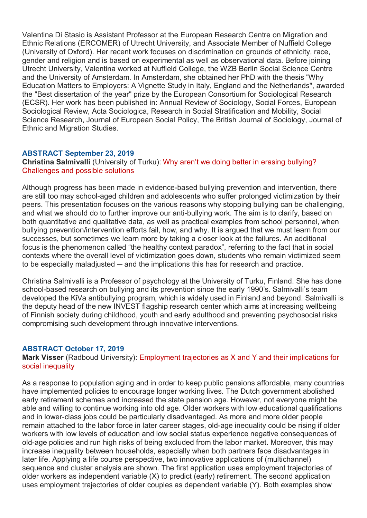Valentina Di Stasio is Assistant Professor at the European Research Centre on Migration and Ethnic Relations (ERCOMER) of Utrecht University, and Associate Member of Nuffield College (University of Oxford). Her recent work focuses on discrimination on grounds of ethnicity, race, gender and religion and is based on experimental as well as observational data. Before joining Utrecht University, Valentina worked at Nuffield College, the WZB Berlin Social Science Centre and the University of Amsterdam. In Amsterdam, she obtained her PhD with the thesis "Why Education Matters to Employers: A Vignette Study in Italy, England and the Netherlands", awarded the "Best dissertation of the year" prize by the European Consortium for Sociological Research (ECSR). Her work has been published in: Annual Review of Sociology, Social Forces, European Sociological Review, Acta Sociologica, Research in Social Stratification and Mobility, Social Science Research, Journal of European Social Policy, The British Journal of Sociology, Journal of Ethnic and Migration Studies.

#### **ABSTRACT September 23, 2019**

#### **Christina Salmivalli** (University of Turku): Why aren't we doing better in erasing bullying? Challenges and possible solutions

Although progress has been made in evidence-based bullying prevention and intervention, there are still too may school-aged children and adolescents who suffer prolonged victimization by their peers. This presentation focuses on the various reasons why stopping bullying can be challenging, and what we should do to further improve our anti-bullying work. The aim is to clarify, based on both quantitative and qualitative data, as well as practical examples from school personnel, when bullying prevention/intervention efforts fail, how, and why. It is argued that we must learn from our successes, but sometimes we learn more by taking a closer look at the failures. An additional focus is the phenomenon called "the healthy context paradox", referring to the fact that in social contexts where the overall level of victimization goes down, students who remain victimized seem to be especially maladjusted  $-$  and the implications this has for research and practice.

Christina Salmivalli is a Professor of psychology at the University of Turku, Finland. She has done school-based research on bullying and its prevention since the early 1990's. Salmivalli's team developed the KiVa antibullying program, which is widely used in Finland and beyond. Salmivalli is the deputy head of the new INVEST flagship research center which aims at increasing wellbeing of Finnish society during childhood, youth and early adulthood and preventing psychosocial risks compromising such development through innovative interventions.

#### **ABSTRACT October 17, 2019**

## **Mark Visser** (Radboud University): Employment trajectories as X and Y and their implications for social inequality

As a response to population aging and in order to keep public pensions affordable, many countries have implemented policies to encourage longer working lives. The Dutch government abolished early retirement schemes and increased the state pension age. However, not everyone might be able and willing to continue working into old age. Older workers with low educational qualifications and in lower-class jobs could be particularly disadvantaged. As more and more older people remain attached to the labor force in later career stages, old-age inequality could be rising if older workers with low levels of education and low social status experience negative consequences of old-age policies and run high risks of being excluded from the labor market. Moreover, this may increase inequality between households, especially when both partners face disadvantages in later life. Applying a life course perspective, two innovative applications of (multichannel) sequence and cluster analysis are shown. The first application uses employment trajectories of older workers as independent variable (X) to predict (early) retirement. The second application uses employment trajectories of older couples as dependent variable (Y). Both examples show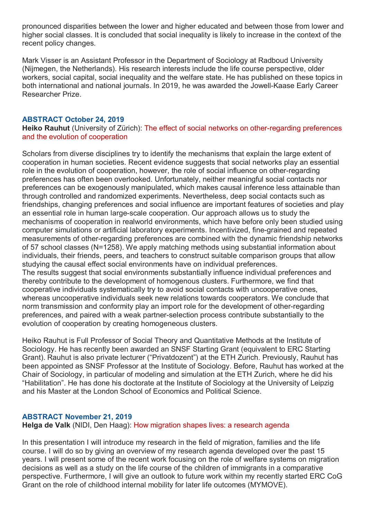pronounced disparities between the lower and higher educated and between those from lower and higher social classes. It is concluded that social inequality is likely to increase in the context of the recent policy changes.

Mark Visser is an Assistant Professor in the Department of Sociology at Radboud University (Nijmegen, the Netherlands). His research interests include the life course perspective, older workers, social capital, social inequality and the welfare state. He has published on these topics in both international and national journals. In 2019, he was awarded the Jowell-Kaase Early Career Researcher Prize.

## **ABSTRACT October 24, 2019**

## **Heiko Rauhut** (University of Zürich): The effect of social networks on other-regarding preferences and the evolution of cooperation

Scholars from diverse disciplines try to identify the mechanisms that explain the large extent of cooperation in human societies. Recent evidence suggests that social networks play an essential role in the evolution of cooperation, however, the role of social influence on other-regarding preferences has often been overlooked. Unfortunately, neither meaningful social contacts nor preferences can be exogenously manipulated, which makes causal inference less attainable than through controlled and randomized experiments. Nevertheless, deep social contacts such as friendships, changing preferences and social influence are important features of societies and play an essential role in human large-scale cooperation. Our approach allows us to study the mechanisms of cooperation in realworld environments, which have before only been studied using computer simulations or artificial laboratory experiments. Incentivized, fine-grained and repeated measurements of other-regarding preferences are combined with the dynamic friendship networks of 57 school classes (N=1258). We apply matching methods using substantial information about individuals, their friends, peers, and teachers to construct suitable comparison groups that allow studying the causal effect social environments have on individual preferences. The results suggest that social environments substantially influence individual preferences and thereby contribute to the development of homogenous clusters. Furthermore, we find that cooperative individuals systematically try to avoid social contacts with uncooperative ones, whereas uncooperative individuals seek new relations towards cooperators. We conclude that norm transmission and conformity play an import role for the development of other-regarding preferences, and paired with a weak partner-selection process contribute substantially to the evolution of cooperation by creating homogeneous clusters.

Heiko Rauhut is Full Professor of Social Theory and Quantitative Methods at the Institute of Sociology. He has recently been awarded an SNSF Starting Grant (equivalent to ERC Starting Grant). Rauhut is also private lecturer ("Privatdozent") at the ETH Zurich. Previously, Rauhut has been appointed as SNSF Professor at the Institute of Sociology. Before, Rauhut has worked at the Chair of Sociology, in particular of modeling and simulation at the ETH Zurich, where he did his "Habilitation". He has done his doctorate at the Institute of Sociology at the University of Leipzig and his Master at the London School of Economics and Political Science.

## **ABSTRACT November 21, 2019**

**Helga de Valk** (NIDI, Den Haag): How migration shapes lives: a research agenda

In this presentation I will introduce my research in the field of migration, families and the life course. I will do so by giving an overview of my research agenda developed over the past 15 years. I will present some of the recent work focusing on the role of welfare systems on migration decisions as well as a study on the life course of the children of immigrants in a comparative perspective. Furthermore, I will give an outlook to future work within my recently started ERC CoG Grant on the role of childhood internal mobility for later life outcomes (MYMOVE).